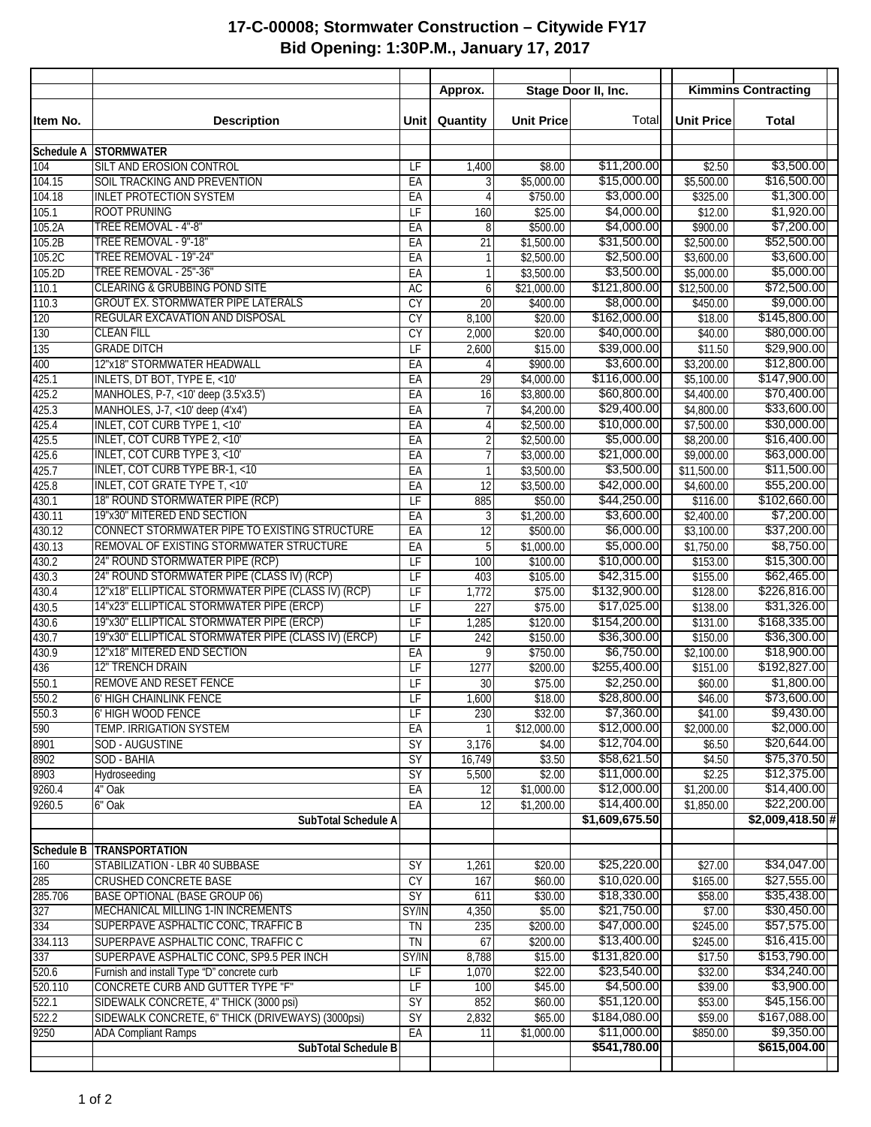## **17-C-00008; Stormwater Construction – Citywide FY17 Bid Opening: 1:30P.M., January 17, 2017**

|                  |                                                                                                   |                                | Approx.         | Stage Door II, Inc.      |                             | <b>Kimmins Contracting</b> |                             |
|------------------|---------------------------------------------------------------------------------------------------|--------------------------------|-----------------|--------------------------|-----------------------------|----------------------------|-----------------------------|
| Item No.         | <b>Description</b>                                                                                | <b>Unit</b>                    | Quantity        | <b>Unit Price</b>        | Total                       | <b>Unit Price</b>          | <b>Total</b>                |
| Schedule A       | <b>STORMWATER</b>                                                                                 |                                |                 |                          |                             |                            |                             |
| 104              | <b>SILT AND EROSION CONTROL</b>                                                                   | LF                             | 1,400           | \$8.00                   | \$11,200.00                 | \$2.50                     | \$3,500.00                  |
| 104.15           | SOIL TRACKING AND PREVENTION                                                                      | EA                             |                 | \$5,000.00               | \$15,000.00                 | \$5,500.00                 | \$16,500.00                 |
| 104.18           | <b>INLET PROTECTION SYSTEM</b>                                                                    | EA                             | 4               | \$750.00                 | \$3,000.00                  | \$325.00                   | \$1,300.00                  |
| 105.1            | <b>ROOT PRUNING</b>                                                                               | $\overline{LF}$                | 160             | \$25.00                  | \$4,000.00                  | \$12.00                    | \$1,920.00<br>\$7,200.00    |
| 105.2A<br>105.2B | TREE REMOVAL - 4"-8"<br>TREE REMOVAL - 9"-18"                                                     | EA<br>EA                       | 8<br>21         | \$500.00<br>\$1,500.00   | \$4,000.00<br>\$31,500.00   | \$900.00<br>\$2,500.00     | \$52,500.00                 |
| 105.2C           | TREE REMOVAL - 19"-24"                                                                            | EA                             |                 | \$2,500.00               | \$2,500.00                  | \$3,600.00                 | \$3,600.00                  |
| 105.2D           | TREE REMOVAL - 25"-36"                                                                            | EA                             | 1               | \$3,500.00               | \$3,500.00                  | \$5,000.00                 | \$5,000.00                  |
| 110.1            | <b>CLEARING &amp; GRUBBING POND SITE</b>                                                          | <b>AC</b>                      | 6               | \$21,000.00              | \$121,800.00                | \$12,500.00                | \$72,500.00                 |
| 110.3            | <b>GROUT EX. STORMWATER PIPE LATERALS</b>                                                         | CY                             | $\overline{20}$ | \$400.00                 | \$8,000.00]                 | \$450.00                   | \$9,000.00                  |
| 120              | REGULAR EXCAVATION AND DISPOSAL                                                                   | <b>CY</b>                      | 8,100           | \$20.00                  | \$162,000.00                | \$18.00                    | \$145,800.00                |
| 130              | <b>CLEAN FILL</b>                                                                                 | CY                             | 2,000           | \$20.00                  | \$40,000.00                 | \$40.00                    | \$80,000.00                 |
| 135              | <b>GRADE DITCH</b>                                                                                | $\overline{\mathsf{LF}}$       | 2,600           | \$15.00                  | \$39,000.00                 | \$11.50                    | \$29,900.00                 |
| 400              | 12"x18" STORMWATER HEADWALL                                                                       | EA                             | 4               | \$900.00                 | \$3,600.00                  | \$3,200.00                 | \$12,800.00                 |
| 425.1            | INLETS, DT BOT, TYPE E, <10'                                                                      | EA                             | 29              | \$4,000.00               | \$116,000.00                | \$5,100.00                 | \$147,900.00                |
| 425.2            | MANHOLES, P-7, <10' deep (3.5'x3.5')                                                              | EA                             | 16              | \$3,800.00               | \$60,800.00                 | \$4,400.00                 | \$70,400.00                 |
| 425.3            | MANHOLES, J-7, <10' deep (4'x4')                                                                  | EA                             | $\overline{7}$  | \$4,200.00               | \$29,400.00<br>\$10,000.00  | \$4,800.00                 | \$33,600.00<br>\$30,000.00  |
| 425.4<br>425.5   | <b>INLET, COT CURB TYPE 1, &lt;10'</b><br>INLET, COT CURB TYPE 2, <10'                            | EA<br>EA                       | 4<br>2          | \$2,500.00<br>\$2,500.00 | \$5,000.00                  | \$7,500.00<br>\$8,200.00   | \$16,400.00                 |
| 425.6            | <b>INLET, COT CURB TYPE 3, &lt;10'</b>                                                            | EA                             |                 | \$3,000.00               | \$21,000.00                 | \$9,000.00                 | \$63,000.00                 |
| 425.7            | <b>INLET, COT CURB TYPE BR-1, &lt;10</b>                                                          | EA                             |                 | \$3,500.00               | \$3,500.00                  | \$11,500.00                | \$11,500.00                 |
| 425.8            | <b>INLET, COT GRATE TYPE T, &lt;10'</b>                                                           | EA                             | 12              | \$3,500.00               | \$42,000.00                 | \$4,600.00                 | \$55,200.00                 |
| 430.1            | 18" ROUND STORMWATER PIPE (RCP)                                                                   | $\overline{LF}$                | 885             | \$50.00                  | \$44,250.00                 | \$116.00                   | \$102,660.00                |
| 430.11           | 19"x30" MITERED END SECTION                                                                       | EA                             | 3               | \$1,200.00               | \$3,600.00                  | \$2,400.00                 | \$7,200.00                  |
| 430.12           | CONNECT STORMWATER PIPE TO EXISTING STRUCTURE                                                     | EA                             | 12              | \$500.00                 | \$6,000.00                  | \$3,100.00                 | \$37,200.00                 |
| 430.13           | REMOVAL OF EXISTING STORMWATER STRUCTURE                                                          | EA                             | 5               | \$1,000.00               | \$5,000.00]                 | \$1,750.00                 | \$8,750.00                  |
| 430.2            | 24" ROUND STORMWATER PIPE (RCP)                                                                   | LF                             | 100             | \$100.00                 | \$10,000.00                 | \$153.00                   | \$15,300.00                 |
| 430.3            | 24" ROUND STORMWATER PIPE (CLASS IV) (RCP)                                                        | $\overline{LF}$                | 403             | \$105.00                 | \$42,315.00                 | \$155.00                   | \$62,465.00                 |
| 430.4            | 12"x18" ELLIPTICAL STORMWATER PIPE (CLASS IV) (RCP)                                               | LF                             | 1,772           | \$75.00                  | \$132,900.00                | \$128.00                   | \$226,816.00                |
| 430.5            | 14"x23" ELLIPTICAL STORMWATER PIPE (ERCP)                                                         | $\overline{\mathsf{LF}}$       | 227             | \$75.00                  | \$17,025.00                 | \$138.00                   | \$31,326.00                 |
| 430.6            | 19"x30" ELLIPTICAL STORMWATER PIPE (ERCP)<br>19"x30" ELLIPTICAL STORMWATER PIPE (CLASS IV) (ERCP) | $\overline{\mathsf{LF}}$       | 1,285           | \$120.00                 | \$154,200.00<br>\$36,300.00 | \$131.00                   | \$168,335.00<br>\$36,300.00 |
| 430.7<br>430.9   | 12"x18" MITERED END SECTION                                                                       | $\overline{\mathsf{LF}}$<br>EA | 242<br>9        | \$150.00<br>\$750.00     | \$6,750.00                  | \$150.00<br>\$2,100.00     | \$18,900.00                 |
| 436              | <b>12" TRENCH DRAIN</b>                                                                           | LF                             | 1277            | \$200.00                 | \$255,400.00                | \$151.00                   | \$192,827.00                |
| 550.1            | REMOVE AND RESET FENCE                                                                            | LF                             | $\overline{30}$ | \$75.00                  | \$2,250.00                  | \$60.00                    | \$1,800.00                  |
| 550.2            | 6' HIGH CHAINLINK FENCE                                                                           | $\overline{LF}$                | 1,600           | \$18.00                  | \$28,800.00                 | \$46.00                    | \$73,600.00                 |
| 550.3            | 6' HIGH WOOD FENCE                                                                                | LF                             | 230             | \$32.00                  | \$7,360.00                  | \$41.00                    | \$9,430.00                  |
| 590              | TEMP. IRRIGATION SYSTEM                                                                           | EA                             |                 | \$12,000.00              | \$12,000.00                 | \$2,000.00                 | \$2,000.00]                 |
| 8901             | SOD - AUGUSTINE                                                                                   | $\overline{SY}$                | 3,176           | \$4.00                   | \$12,704.00                 | \$6.50                     | \$20,644.00                 |
| 8902             | SOD - BAHIA                                                                                       | $\overline{SY}$                | 16,749          | \$3.50                   | \$58,621.50                 | \$4.50                     | \$75,370.50                 |
| 8903             | Hydroseeding                                                                                      | SY                             | 5,500           | \$2.00                   | \$11,000.00                 | \$2.25                     | \$12,375.00                 |
| 9260.4           | 4" Oak                                                                                            | EA                             | 12              | \$1,000.00               | \$12,000.00                 | \$1,200.00                 | \$14,400.00                 |
| 9260.5           | 6" Oak                                                                                            | EA                             | 12              | \$1,200.00               | \$14,400.00                 | \$1,850.00                 | \$22,200.00                 |
|                  | SubTotal Schedule A                                                                               |                                |                 |                          | \$1,609,675.50              |                            | $$2,009,418.50$ #           |
| Schedule B       | <b>TRANSPORTATION</b>                                                                             |                                |                 |                          |                             |                            |                             |
| 160              | STABILIZATION - LBR 40 SUBBASE                                                                    | $\overline{SY}$                | 1,261           | \$20.00                  | \$25,220.00                 | \$27.00                    | \$34,047.00                 |
| 285              | CRUSHED CONCRETE BASE                                                                             | CY                             | 167             | \$60.00                  | \$10,020.00                 | \$165.00                   | \$27,555.00                 |
| 285.706          | <b>BASE OPTIONAL (BASE GROUP 06)</b>                                                              | $\overline{SY}$                | 611             | \$30.00                  | \$18,330.00                 | \$58.00                    | \$35,438.00                 |
| 327              | MECHANICAL MILLING 1-IN INCREMENTS                                                                | SY/IN                          | 4,350           | \$5.00                   | \$21,750.00                 | \$7.00                     | \$30,450.00                 |
| 334              | SUPERPAVE ASPHALTIC CONC, TRAFFIC B                                                               | TN                             | 235             | \$200.00                 | \$47,000.00                 | \$245.00                   | \$57,575.00                 |
| 334.113          | SUPERPAVE ASPHALTIC CONC, TRAFFIC C                                                               | TN                             | 67              | \$200.00                 | \$13,400.00                 | \$245.00                   | \$16,415.00                 |
| 337              | SUPERPAVE ASPHALTIC CONC, SP9.5 PER INCH                                                          | SY/IN                          | 8,788           | \$15.00                  | \$131,820.00                | \$17.50                    | \$153,790.00                |
| 520.6            | Furnish and install Type "D" concrete curb                                                        | LF                             | 1,070           | \$22.00                  | \$23,540.00                 | \$32.00                    | \$34,240.00                 |
| 520.110          | CONCRETE CURB AND GUTTER TYPE "F"                                                                 | $\overline{\mathsf{LF}}$       | 100             | \$45.00                  | \$4,500.00<br>\$51,120.00   | \$39.00                    | \$3,900.00<br>\$45,156.00   |
| 522.1<br>522.2   | SIDEWALK CONCRETE, 4" THICK (3000 psi)<br>SIDEWALK CONCRETE, 6" THICK (DRIVEWAYS) (3000psi)       | $\overline{SY}$<br>SY          | 852<br>2,832    | \$60.00<br>\$65.00       | \$184,080.00                | \$53.00<br>\$59.00         | \$167,088.00                |
| 9250             | <b>ADA Compliant Ramps</b>                                                                        | EA                             | 11              | \$1,000.00               | \$11,000.00                 | \$850.00                   | \$9,350.00                  |
|                  | SubTotal Schedule B                                                                               |                                |                 |                          | \$541,780.00                |                            | \$615,004.00                |
|                  |                                                                                                   |                                |                 |                          |                             |                            |                             |